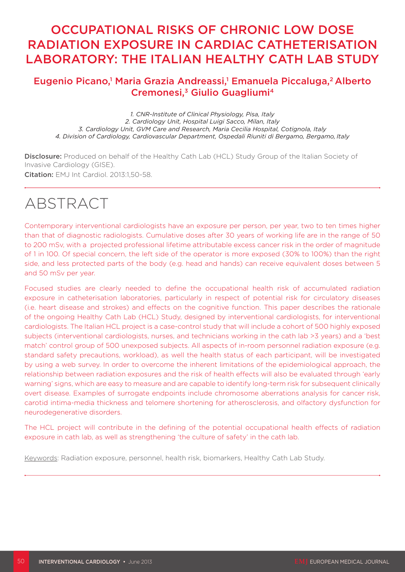# OCCUPATIONAL RISKS OF CHRONIC LOW DOSE RADIATION EXPOSURE IN CARDIAC CATHETERISATION LABORATORY: THE ITALIAN HEALTHY CATH LAB STUDY

# Eugenio Picano,<sup>1</sup> Maria Grazia Andreassi,<sup>1</sup> Emanuela Piccaluga,<sup>2</sup> Alberto Cremonesi,<sup>3</sup> Giulio Guagliumi<sup>4</sup>

*1. CNR-Institute of Clinical Physiology, Pisa, Italy 2. Cardiology Unit, Hospital Luigi Sacco, Milan, Italy 3. Cardiology Unit, GVM Care and Research, Maria Cecilia Hospital, Cotignola, Italy 4. Division of Cardiology, Cardiovascular Department, Ospedali Riuniti di Bergamo, Bergamo, Italy*

Disclosure: Produced on behalf of the Healthy Cath Lab (HCL) Study Group of the Italian Society of Invasive Cardiology (GISE). Citation: EMJ Int Cardiol. 2013:1,50-58.

# ABSTRACT

Contemporary interventional cardiologists have an exposure per person, per year, two to ten times higher than that of diagnostic radiologists. Cumulative doses after 30 years of working life are in the range of 50 to 200 mSv, with a projected professional lifetime attributable excess cancer risk in the order of magnitude of 1 in 100. Of special concern, the left side of the operator is more exposed (30% to 100%) than the right side, and less protected parts of the body (e.g. head and hands) can receive equivalent doses between 5 and 50 mSv per year.

Focused studies are clearly needed to define the occupational health risk of accumulated radiation exposure in catheterisation laboratories, particularly in respect of potential risk for circulatory diseases (i.e. heart disease and strokes) and effects on the cognitive function. This paper describes the rationale of the ongoing Healthy Cath Lab (HCL) Study, designed by interventional cardiologists, for interventional cardiologists. The Italian HCL project is a case-control study that will include a cohort of 500 highly exposed subjects (interventional cardiologists, nurses, and technicians working in the cath lab >3 years) and a 'best match' control group of 500 unexposed subjects. All aspects of in-room personnel radiation exposure (e.g. standard safety precautions, workload), as well the health status of each participant, will be investigated by using a web survey. In order to overcome the inherent limitations of the epidemiological approach, the relationship between radiation exposures and the risk of health effects will also be evaluated through 'early warning' signs, which are easy to measure and are capable to identify long-term risk for subsequent clinically overt disease. Examples of surrogate endpoints include chromosome aberrations analysis for cancer risk, carotid intima-media thickness and telomere shortening for atherosclerosis, and olfactory dysfunction for neurodegenerative disorders.

The HCL project will contribute in the defining of the potential occupational health effects of radiation exposure in cath lab, as well as strengthening 'the culture of safety' in the cath lab.

Keywords: Radiation exposure, personnel, health risk, biomarkers, Healthy Cath Lab Study.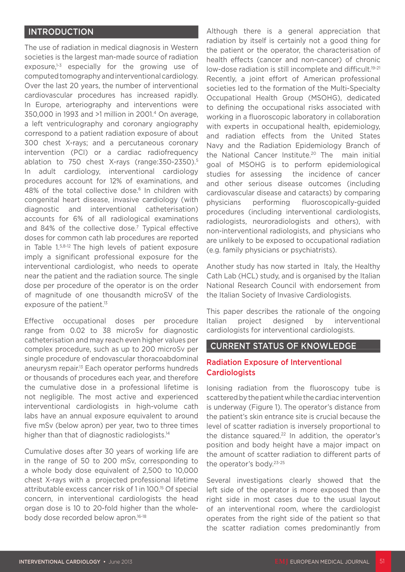## **INTRODUCTION**

The use of radiation in medical diagnosis in Western societies is the largest man-made source of radiation exposure, $1-3$  especially for the growing use of computed tomography and interventional cardiology. Over the last 20 years, the number of interventional cardiovascular procedures has increased rapidly. In Europe, arteriography and interventions were 350,000 in 1993 and >1 million in 2001.4 On average, a left ventriculography and coronary angiography correspond to a patient radiation exposure of about 300 chest X-rays; and a percutaneous coronary intervention (PCI) or a cardiac radiofrequency ablation to 750 chest X-rays (range:350-2350).5 In adult cardiology, interventional cardiology procedures account for 12% of examinations, and 48% of the total collective dose.<sup>6</sup> In children with congenital heart disease, invasive cardiology (with diagnostic and interventional catheterisation) accounts for 6% of all radiological examinations and 84% of the collective dose.<sup>7</sup> Typical effective doses for common cath lab procedures are reported in Table 1.5,8-12 The high levels of patient exposure imply a significant professional exposure for the interventional cardiologist, who needs to operate near the patient and the radiation source. The single dose per procedure of the operator is on the order of magnitude of one thousandth microSV of the exposure of the patient.<sup>13</sup>

Effective occupational doses per procedure range from 0.02 to 38 microSv for diagnostic catheterisation and may reach even higher values per complex procedure, such as up to 200 microSv per single procedure of endovascular thoracoabdominal aneurysm repair.13 Each operator performs hundreds or thousands of procedures each year, and therefore the cumulative dose in a professional lifetime is not negligible. The most active and experienced interventional cardiologists in high-volume cath labs have an annual exposure equivalent to around five mSv (below apron) per year, two to three times higher than that of diagnostic radiologists.<sup>14</sup>

Cumulative doses after 30 years of working life are in the range of 50 to 200 mSv, corresponding to a whole body dose equivalent of 2,500 to 10,000 chest X-rays with a projected professional lifetime attributable excess cancer risk of 1 in 100.15 Of special concern, in interventional cardiologists the head organ dose is 10 to 20-fold higher than the wholebody dose recorded below apron.<sup>16-18</sup>

Although there is a general appreciation that radiation by itself is certainly not a good thing for the patient or the operator, the characterisation of health effects (cancer and non-cancer) of chronic low-dose radiation is still incomplete and difficult.<sup>19-21</sup> Recently, a joint effort of American professional societies led to the formation of the Multi-Specialty Occupational Health Group (MSOHG), dedicated to defining the occupational risks associated with working in a fluoroscopic laboratory in collaboration with experts in occupational health, epidemiology, and radiation effects from the United States Navy and the Radiation Epidemiology Branch of the National Cancer Institute.<sup>20</sup> The main initial goal of MSOHG is to perform epidemiological studies for assessing the incidence of cancer and other serious disease outcomes (including cardiovascular disease and cataracts) by comparing physicians performing fluoroscopically-guided procedures (including interventional cardiologists, radiologists, neuroradiologists and others), with non-interventional radiologists, and physicians who are unlikely to be exposed to occupational radiation (e.g. family physicians or psychiatrists).

Another study has now started in Italy, the Healthy Cath Lab (HCL) study, and is organised by the Italian National Research Council with endorsement from the Italian Society of Invasive Cardiologists.

This paper describes the rationale of the ongoing Italian project designed by interventional cardiologists for interventional cardiologists.

#### CURRENT STATUS OF KNOWLEDGE

#### Radiation Exposure of Interventional **Cardiologists**

Ionising radiation from the fluoroscopy tube is scattered by the patient while the cardiac intervention is underway (Figure 1). The operator's distance from the patient's skin entrance site is crucial because the level of scatter radiation is inversely proportional to the distance squared.<sup>22</sup> In addition, the operator's position and body height have a major impact on the amount of scatter radiation to different parts of the operator's body.23-25

Several investigations clearly showed that the left side of the operator is more exposed than the right side in most cases due to the usual layout of an interventional room, where the cardiologist operates from the right side of the patient so that the scatter radiation comes predominantly from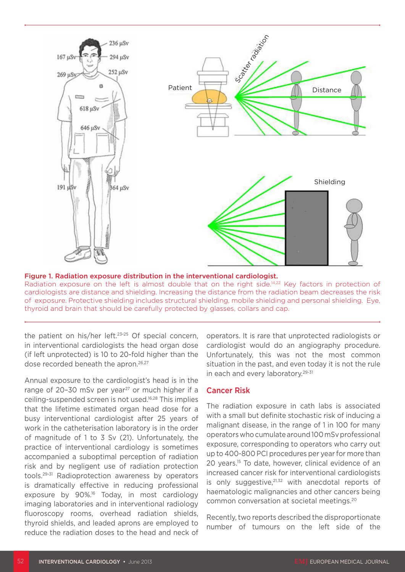

#### Figure 1. Radiation exposure distribution in the interventional cardiologist.

Radiation exposure on the left is almost double that on the right side.<sup>14,22</sup> Key factors in protection of cardiologists are distance and shielding. Increasing the distance from the radiation beam decreases the risk of exposure. Protective shielding includes structural shielding, mobile shielding and personal shielding. Eye, thyroid and brain that should be carefully protected by glasses, collars and cap.

the patient on his/her left.23-25 Of special concern, in interventional cardiologists the head organ dose (if left unprotected) is 10 to 20-fold higher than the dose recorded beneath the apron.<sup>26,27</sup>

Annual exposure to the cardiologist's head is in the range of 20-30 mSv per year $27$  or much higher if a ceiling-suspended screen is not used.16,28 This implies that the lifetime estimated organ head dose for a busy interventional cardiologist after 25 years of work in the catheterisation laboratory is in the order of magnitude of 1 to 3 Sv (21). Unfortunately, the practice of interventional cardiology is sometimes accompanied a suboptimal perception of radiation risk and by negligent use of radiation protection tools.29-31 Radioprotection awareness by operators is dramatically effective in reducing professional exposure by 90%.16 Today, in most cardiology imaging laboratories and in interventional radiology fluoroscopy rooms, overhead radiation shields, thyroid shields, and leaded aprons are employed to reduce the radiation doses to the head and neck of

operators. It is rare that unprotected radiologists or cardiologist would do an angiography procedure. Unfortunately, this was not the most common situation in the past, and even today it is not the rule in each and every laboratory.<sup>29-31</sup>

#### Cancer Risk

The radiation exposure in cath labs is associated with a small but definite stochastic risk of inducing a malignant disease, in the range of 1 in 100 for many operators who cumulate around 100 mSv professional exposure, corresponding to operators who carry out up to 400-800 PCI procedures per year for more than 20 years.15 To date, however, clinical evidence of an increased cancer risk for interventional cardiologists is only suggestive, $21,32$  with anecdotal reports of haematologic malignancies and other cancers being common conversation at societal meetings.20

Recently, two reports described the disproportionate number of tumours on the left side of the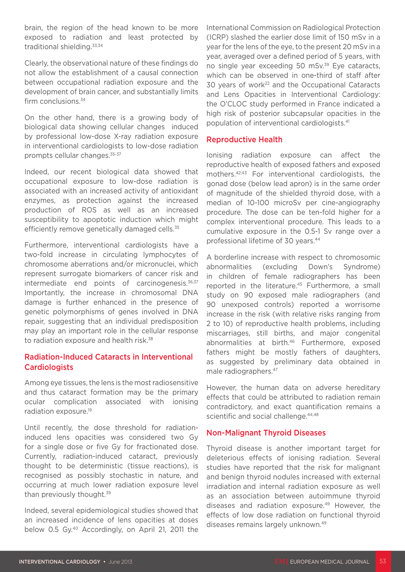brain, the region of the head known to be more exposed to radiation and least protected by traditional shielding.33,34

Clearly, the observational nature of these findings do not allow the establishment of a causal connection between occupational radiation exposure and the development of brain cancer, and substantially limits firm conclusions.<sup>34</sup>

On the other hand, there is a growing body of biological data showing cellular changes induced by professional low-dose X-ray radiation exposure in interventional cardiologists to low-dose radiation prompts cellular changes.35-37

Indeed, our recent biological data showed that occupational exposure to low-dose radiation is associated with an increased activity of antioxidant enzymes, as protection against the increased production of ROS as well as an increased susceptibility to apoptotic induction which might efficiently remove genetically damaged cells.<sup>35</sup>

Furthermore, interventional cardiologists have a two-fold increase in circulating lymphocytes of chromosome aberrations and/or micronuclei, which represent surrogate biomarkers of cancer risk and intermediate end points of carcinogenesis. $36,37$ Importantly, the increase in chromosomal DNA damage is further enhanced in the presence of genetic polymorphisms of genes involved in DNA repair, suggesting that an individual predisposition may play an important role in the cellular response to radiation exposure and health risk.<sup>38</sup>

#### Radiation-Induced Cataracts in Interventional **Cardiologists**

Among eye tissues, the lens is the most radiosensitive and thus cataract formation may be the primary ocular complication associated with ionising radiation exposure.19

Until recently, the dose threshold for radiationinduced lens opacities was considered two Gy for a single dose or five Gy for fractionated dose. Currently, radiation-induced cataract, previously thought to be deterministic (tissue reactions), is recognised as possibly stochastic in nature, and occurring at much lower radiation exposure level than previously thought.<sup>39</sup>

Indeed, several epidemiological studies showed that an increased incidence of lens opacities at doses below 0.5 Gy.40 Accordingly, on April 21, 2011 the

International Commission on Radiological Protection (ICRP) slashed the earlier dose limit of 150 mSv in a year for the lens of the eye, to the present 20 mSv in a year, averaged over a defined period of 5 years, with no single year exceeding 50 mSv.<sup>39</sup> Eye cataracts, which can be observed in one-third of staff after 30 years of work<sup>22</sup> and the Occupational Cataracts and Lens Opacities in Interventional Cardiology: the O'CLOC study performed in France indicated a high risk of posterior subcapsular opacities in the population of interventional cardiologists.41

#### Reproductive Health

Ionising radiation exposure can affect the reproductive health of exposed fathers and exposed mothers.42,43 For interventional cardiologists, the gonad dose (below lead apron) is in the same order of magnitude of the shielded thyroid dose, with a median of 10-100 microSv per cine-angiography procedure. The dose can be ten-fold higher for a complex interventional procedure. This leads to a cumulative exposure in the 0.5-1 Sv range over a professional lifetime of 30 years.44

A borderline increase with respect to chromosomic abnormalities (excluding Down's Syndrome) in children of female radiographers has been reported in the literature.<sup>45</sup> Furthermore, a small study on 90 exposed male radiographers (and 90 unexposed controls) reported a worrisome increase in the risk (with relative risks ranging from 2 to 10) of reproductive health problems, including miscarriages, still births, and major congenital abnormalities at birth.<sup>46</sup> Furthermore, exposed fathers might be mostly fathers of daughters, as suggested by preliminary data obtained in male radiographers.47

However, the human data on adverse hereditary effects that could be attributed to radiation remain contradictory, and exact quantification remains a scientific and social challenge.<sup>44,48</sup>

#### Non-Malignant Thyroid Diseases

Thyroid disease is another important target for deleterious effects of ionising radiation. Several studies have reported that the risk for malignant and benign thyroid nodules increased with external irradiation and internal radiation exposure as well as an association between autoimmune thyroid diseases and radiation exposure.49 However, the effects of low dose radiation on functional thyroid diseases remains largely unknown.49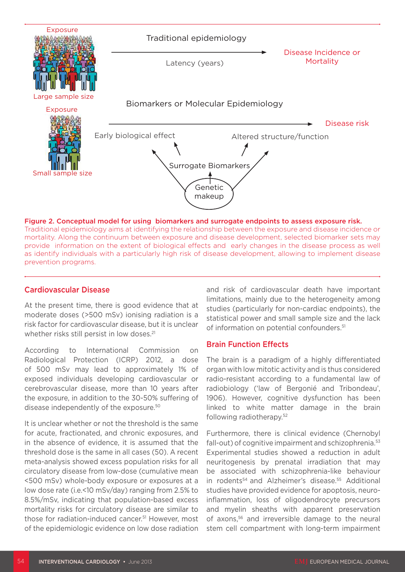

Traditional epidemiology aims at identifying the relationship between the exposure and disease incidence or mortality. Along the continuum between exposure and disease development, selected biomarker sets may provide information on the extent of biological effects and early changes in the disease process as well as identify individuals with a particularly high risk of disease development, allowing to implement disease prevention programs.

#### Cardiovascular Disease

At the present time, there is good evidence that at moderate doses (>500 mSv) ionising radiation is a risk factor for cardiovascular disease, but it is unclear whether risks still persist in low doses.<sup>21</sup>

According to International Commission on Radiological Protection (ICRP) 2012, a dose of 500 mSv may lead to approximately 1% of exposed individuals developing cardiovascular or cerebrovascular disease, more than 10 years after the exposure, in addition to the 30-50% suffering of disease independently of the exposure.50

It is unclear whether or not the threshold is the same for acute, fractionated, and chronic exposures, and in the absence of evidence, it is assumed that the threshold dose is the same in all cases (50). A recent meta-analysis showed excess population risks for all circulatory disease from low-dose (cumulative mean <500 mSv) whole-body exposure or exposures at a low dose rate (i.e.<10 mSv/day) ranging from 2.5% to 8.5%/mSv, indicating that population-based excess mortality risks for circulatory disease are similar to those for radiation-induced cancer.51 However, most of the epidemiologic evidence on low dose radiation and risk of cardiovascular death have important limitations, mainly due to the heterogeneity among studies (particularly for non-cardiac endpoints), the statistical power and small sample size and the lack of information on potential confounders.<sup>51</sup>

#### Brain Function Effects

The brain is a paradigm of a highly differentiated organ with low mitotic activity and is thus considered radio-resistant according to a fundamental law of radiobiology ('law of Bergonié and Tribondeau', 1906). However, cognitive dysfunction has been linked to white matter damage in the brain following radiotherapy.52

Furthermore, there is clinical evidence (Chernobyl fall-out) of cognitive impairment and schizophrenia.<sup>53</sup> Experimental studies showed a reduction in adult neuritogenesis by prenatal irradiation that may be associated with schizophrenia-like behaviour in rodents<sup>54</sup> and Alzheimer's disease.<sup>55</sup> Additional studies have provided evidence for apoptosis, neuroinflammation, loss of oligodendrocyte precursors and myelin sheaths with apparent preservation of axons,<sup>56</sup> and irreversible damage to the neural stem cell compartment with long-term impairment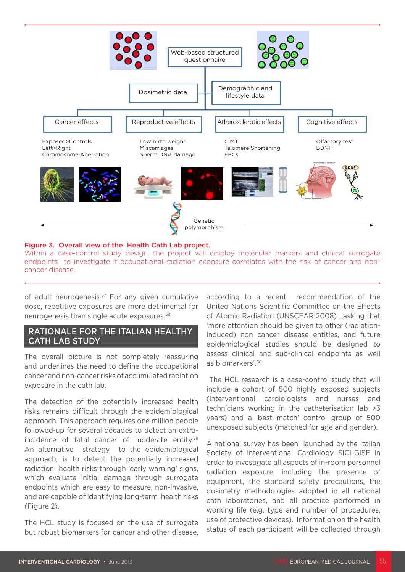

Figure 3. Overall view of the Health Cath Lab project.

Within a case-control study design, the project will employ molecular markers and clinical surrogate endpoints to investigate if occupational radiation exposure correlates with the risk of cancer and noncancer disease.

of adult neurogenesis.<sup>57</sup> For any given cumulative dose, repetitive exposures are more detrimental for neurogenesis than single acute exposures.58

#### RATIONALE FOR THE ITALIAN HEALTHY CATH LAB STUDY

The overall picture is not completely reassuring and underlines the need to define the occupational cancer and non-cancer risks of accumulated radiation exposure in the cath lab.

The detection of the potentially increased health risks remains difficult through the epidemiological approach. This approach requires one million people followed-up for several decades to detect an extraincidence of fatal cancer of moderate entity.59 An alternative strategy to the epidemiological approach, is to detect the potentially increased radiation health risks through 'early warning' signs, which evaluate initial damage through surrogate endpoints which are easy to measure, non-invasive, and are capable of identifying long-term health risks (Figure 2).

The HCL study is focused on the use of surrogate but robust biomarkers for cancer and other disease, according to a recent recommendation of the United Nations Scientific Committee on the Effects of Atomic Radiation (UNSCEAR 2008) , asking that 'more attention should be given to other (radiationinduced) non cancer disease entities, and future epidemiological studies should be designed to assess clinical and sub-clinical endpoints as well as biomarkers'.60

The HCL research is a case-control study that will include a cohort of 500 highly exposed subjects (interventional cardiologists and nurses and technicians working in the catheterisation lab >3 years) and a 'best match' control group of 500 unexposed subjects (matched for age and gender).

A national survey has been launched by the Italian Society of Interventional Cardiology SICI-GISE in order to investigate all aspects of in-room personnel radiation exposure, including the presence of equipment, the standard safety precautions, the dosimetry methodologies adopted in all national cath laboratories, and all practice performed in working life (e.g. type and number of procedures, use of protective devices). Information on the health status of each participant will be collected through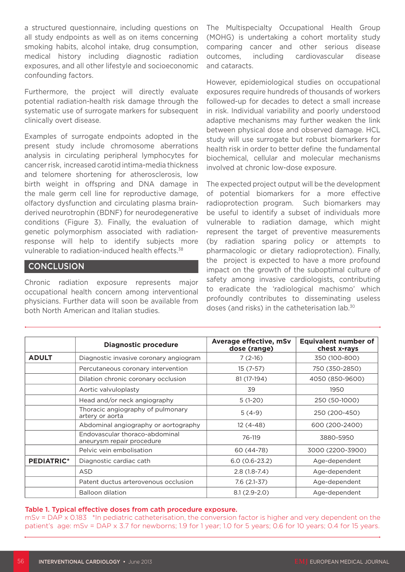a structured questionnaire, including questions on all study endpoints as well as on items concerning smoking habits, alcohol intake, drug consumption, medical history including diagnostic radiation exposures, and all other lifestyle and socioeconomic confounding factors.

Furthermore, the project will directly evaluate potential radiation-health risk damage through the systematic use of surrogate markers for subsequent clinically overt disease.

Examples of surrogate endpoints adopted in the present study include chromosome aberrations analysis in circulating peripheral lymphocytes for cancer risk, increased carotid intima-media thickness and telomere shortening for atherosclerosis, low birth weight in offspring and DNA damage in the male germ cell line for reproductive damage, olfactory dysfunction and circulating plasma brainderived neurotrophin (BDNF) for neurodegenerative conditions (Figure 3). Finally, the evaluation of genetic polymorphism associated with radiationresponse will help to identify subjects more vulnerable to radiation-induced health effects.<sup>38</sup>

## **CONCLUSION**

Chronic radiation exposure represents major occupational health concern among interventional physicians. Further data will soon be available from both North American and Italian studies.

The Multispecialty Occupational Health Group (MOHG) is undertaking a cohort mortality study comparing cancer and other serious disease outcomes, including cardiovascular disease and cataracts.

However, epidemiological studies on occupational exposures require hundreds of thousands of workers followed-up for decades to detect a small increase in risk. Individual variability and poorly understood adaptive mechanisms may further weaken the link between physical dose and observed damage. HCL study will use surrogate but robust biomarkers for health risk in order to better define the fundamental biochemical, cellular and molecular mechanisms involved at chronic low-dose exposure.

The expected project output will be the development of potential biomarkers for a more effective radioprotection program. Such biomarkers may be useful to identify a subset of individuals more vulnerable to radiation damage, which might represent the target of preventive measurements (by radiation sparing policy or attempts to pharmacologic or dietary radioprotection). Finally, the project is expected to have a more profound impact on the growth of the suboptimal culture of safety among invasive cardiologists, contributing to eradicate the 'radiological machismo' which profoundly contributes to disseminating useless doses (and risks) in the catheterisation lab.30

|                   | <b>Diagnostic procedure</b>                                 | Average effective, mSv<br>dose (range) | <b>Equivalent number of</b><br>chest x-rays |
|-------------------|-------------------------------------------------------------|----------------------------------------|---------------------------------------------|
| <b>ADULT</b>      | Diagnostic invasive coronary angiogram                      | $7(2-16)$                              | 350 (100-800)                               |
|                   | Percutaneous coronary intervention                          | $15(7-57)$                             | 750 (350-2850)                              |
|                   | Dilation chronic coronary occlusion                         | 81 (17-194)                            | 4050 (850-9600)                             |
|                   | Aortic valvuloplasty                                        | 39                                     | 1950                                        |
|                   | Head and/or neck angiography                                | $5(1-20)$                              | 250 (50-1000)                               |
|                   | Thoracic angiography of pulmonary<br>artery or aorta        | $5(4-9)$                               | 250 (200-450)                               |
|                   | Abdominal angiography or aortography                        | $12(4-48)$                             | 600 (200-2400)                              |
|                   | Endovascular thoraco-abdominal<br>aneurysm repair procedure | 76-119                                 | 3880-5950                                   |
|                   | Pelvic vein embolisation                                    | 60 (44-78)                             | 3000 (2200-3900)                            |
| <b>PEDIATRIC*</b> | Diagnostic cardiac cath                                     | $6.0(0.6-23.2)$                        | Age-dependent                               |
|                   | ASD                                                         | $2.8(1.8-7.4)$                         | Age-dependent                               |
|                   | Patent ductus arterovenous occlusion                        | $7.6(2.1-37)$                          | Age-dependent                               |
|                   | <b>Balloon dilation</b>                                     | $8.1(2.9-2.0)$                         | Age-dependent                               |

#### Table 1. Typical effective doses from cath procedure exposure.

mSv = DAP x 0.183 \*In pediatric catheterisation, the conversion factor is higher and very dependent on the patient's age: mSv = DAP x 3.7 for newborns; 1.9 for 1 year; 1.0 for 5 years; 0.6 for 10 years; 0.4 for 15 years.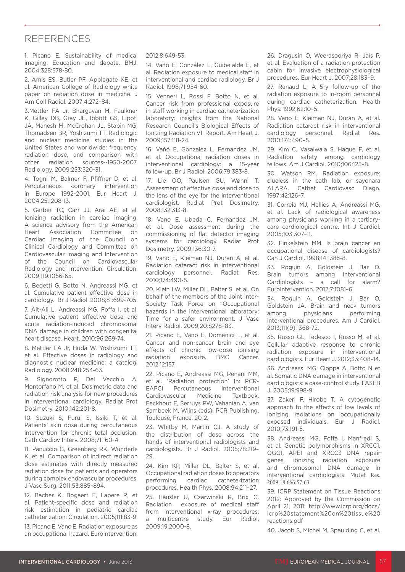# REFERENCES

1. Picano E. Sustainability of medical imaging. Education and debate. BMJ. 2004;328:578-80.

2. Amis ES, Butler PF, Applegate KE, et al. American College of Radiology white paper on radiation dose in medicine. J Am Coll Radiol. 2007;4:272–84.

3.Mettler FA Jr, Bhargavan M, Faulkner K, Gilley DB, Gray JE, Ibbott GS, Lipoti JA, Mahesh M, McCrohan JL, Stabin MG, Thomadsen BR, Yoshizumi TT. Radiologic and nuclear medicine studies in the United States and worldwide: frequency, radiation dose, and comparison with other radiation sources--1950-2007. Radiology. 2009;253:520-31.

4. Togni M, Balmer F, Pfiffner D, et al. Percutaneous coronary intervention in Europe 1992-2001. Eur Heart J. 2004;25:1208-13.

5. Gerber TC, Carr JJ, Arai AE, et al. Ionizing radiation in cardiac imaging. A science advisory from the American Heart Association Committee on Cardiac Imaging of the Council on Clinical Cardiology and Committee on Cardiovascular Imaging and Intervention of the Council on Cardiovascular Radiology and Intervention. Circulation. 2009;119:1056-65.

6. Bedetti G, Botto N, Andreassi MG, et al. Cumulative patient effective dose in cardiology. Br J Radiol. 2008;81:699-705.

7. Ait-Ali L, Andreassi MG, Foffa I, et al. Cumulative patient effective dose and acute radiation-induced chromosomal DNA damage in children with congenital heart disease. Heart. 2010;96:269-74.

8. Mettler FA Jr, Huda W, Yoshizumi TT, et al. Effective doses in radiology and diagnostic nuclear medicine: a catalog. Radiology. 2008;248:254-63.

9. Signorotto P, Del Vecchio A, Montorfano M, et al. Dosimetric data and radiation risk analysis for new procedures in interventional cardiology. Radiat Prot Dosimetry. 2010;142:201-8.

10. Suzuki S, Furui S, Issiki T, et al. Patients' skin dose during percutaneous intervention for chronic total occlusion. Cath Cardiov Interv. 2008;71:160-4.

11. Panuccio G, Greenberg RK, Wunderle K, et al. Comparison of indirect radiation dose estimates with directly measured radiation dose for patients and operators during complex endovascular procedures. J Vasc Surg. 2011;53:885–894.

12. Bacher K, Bogaert E, Lapere R, et al. Patient-specific dose and radiation risk estimation in pediatric cardiac catheterization. Circulation. 2005;111:83-9.

13. Picano E, Vano E. Radiation exposure as an occupational hazard. EuroIntervention. 2012;8:649-53.

14. Vañó E, González L, Guibelalde E, et al. Radiation exposure to medical staff in interventional and cardiac radiology. Br J Radiol. 1998;71:954-60.

15. Venneri L, Rossi F, Botto N, et al. Cancer risk from professional exposure in staff working in cardiac catheterization laboratory: insights from the National Research Council's Biological Effects of Ionizing Radiation VII Report. Am Heart J. 2009;157:118-24.

16. Vañó E, Gonzalez L, Fernandez JM, et al. Occupational radiation doses in interventional cardiology: a 15-year follow-up. Br J Radiol. 2006;79:383-8.

17. Lie OO, Paulsen GU, Wøhni T. Assessment of effective dose and dose to the lens of the eye for the interventional cardiologist. Radiat Prot Dosimetry. 2008;132:313-8.

18. Vano E, Ubeda C, Fernandez JM, et al. Dose assessment during the commissioning of flat detector imaging systems for cardiology. Radiat Prot Dosimetry. 2009;136:30-7.

19. Vano E, Kleiman NJ, Duran A, et al. Radiation cataract risk in interventional cardiology personnel. Radiat Res. 2010;174:490-5.

20. Klein LW, Miller DL, Balter S, et al. On behalf of the members of the Joint Inter-Society Task Force on "Occupational hazards in the interventional laboratory: Time for a safer environment. J Vasc Interv Radiol. 2009;20:S278–83.

21. Picano E, Vano E, Domenici L, et al. Cancer and non-cancer brain and eye effects of chronic low-dose ionising radiation exposure. BMC Cancer. 2012;12:157.

22. Picano E, Andreassi MG, Rehani MM, et al. 'Radiation protection' In: PCR-EAPCI Percutaneous Interventional Cardiovascular Medicine Textbook. Eeckhout E, Serruys PW, Vahanian A, van Sambeek M, Wijns (eds). PCR Publishing, Toulouse, France. 2012.

23. Whitby M, Martin CJ. A study of the distribution of dose across the hands of interventional radiologists and cardiologists. Br J Radiol. 2005;78:219– 29.

24. Kim KP, Miller DL, Balter S, et al. Occupational radiation doses to operators performing cardiac catheterization procedures. Health Phys. 2008;94:211–27.

25. Häusler U, Czarwinski R, Brix G. Radiation exposure of medical staff from interventional x-ray procedures: a multicentre study. Eur Radiol. 2009;19:2000-8.

26. Dragusin O, Weerasooriya R, Jaïs P, et al. Evaluation of a radiation protection cabin for invasive electrophysiological procedures. Eur Heart J. 2007;28:183–9.

27. Renaud L. A 5-y follow-up of the radiation exposure to in-room personnel during cardiac catheterization. Health Phys. 1992;62:10–5.

28. Vano E, Kleiman NJ, Duran A, et al. Radiation cataract risk in interventional cardiology personnel. Radiat Res. 2010;174:490–5.

29. Kim C, Vasaiwala S, Haque F, et al. Radiation safety among cardiology fellows. Am J Cardiol. 2010;106:125–8.

30. Watson RM. Radiation exposure: clueless in the cath lab, or sayonara ALARA. Cathet Cardiovasc Diagn. 1997;42:126–7.

31. Correia MJ, Hellies A, Andreassi MG, et al. Lack of radiological awareness among physicians working in a tertiarycare cardiological centre. Int J Cardiol. 2005;103:307–11.

32. Finkelstein MM. Is brain cancer an occupational disease of cardiologists? Can J Cardiol. 1998;14:1385-8.

33. Roguin A, Goldstein J, Bar O. Brain tumors among Interventional Cardiologists – a call for alarm? EuroIntervention. 2012;7:1081–6.

34. Roguin A, Goldstein J, Bar O, Goldstein JA. Brain and neck tumors among physicians performing interventional procedures. Am J Cardiol. 2013;111(9):1368-72.

35. Russo GL, Tedesco I, Russo M, et al. Cellular adaptive response to chronic radiation exposure in interventional cardiologists. Eur Heart J. 2012;33:408–14.

36. Andreassi MG, Cioppa A, Botto N et al. Somatic DNA damage in interventional cardiologists: a case-control study. FASEB J. 2005;19:998-9.

37. Zakeri F, Hirobe T. A cytogenetic approach to the effects of low levels of ionizing radiations on occupationally exposed individuals. Eur J Radiol. 2010;73:191-5.

38. Andreassi MG, Foffa I, Manfredi S, et al. Genetic polymorphisms in XRCC1, OGG1, APE1 and XRCC3 DNA repair genes, ionizing radiation exposure and chromosomal DNA damage in interventional cardiologists. Mutat Res. 2009;18:666:57-63.

39. ICRP Statement on Tissue Reactions 2012: Approved by the Commission on April 21, 2011; http://www.icrp.org/docs/ icrp%20statement%20on%20tissue%20 reactions.pdf

40. Jacob S, Michel M, Spaulding C, et al.